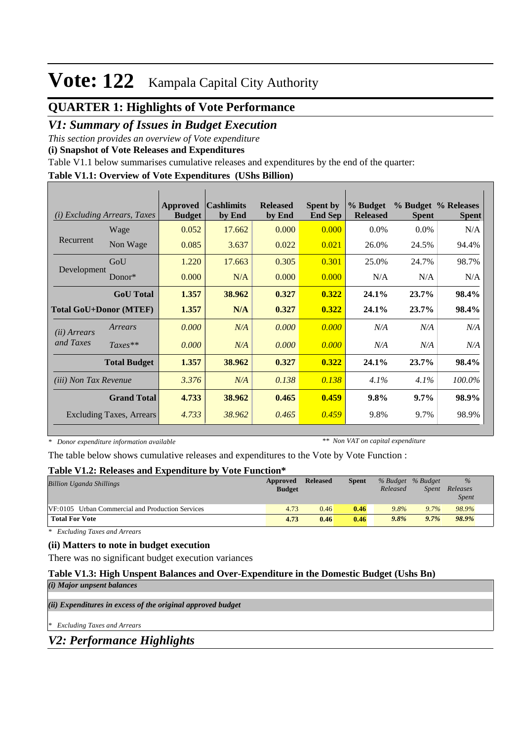## **Vote: 122** Kampala Capital City Authority

## **QUARTER 1: Highlights of Vote Performance**

### *V1: Summary of Issues in Budget Execution*

*This section provides an overview of Vote expenditure* 

**(i) Snapshot of Vote Releases and Expenditures**

Table V1.1 below summarises cumulative releases and expenditures by the end of the quarter:

#### **Table V1.1: Overview of Vote Expenditures (UShs Billion)**

| (i)                             | <b>Excluding Arrears, Taxes</b> | <b>Approved</b><br><b>Budget</b> | <b>Cashlimits</b><br>by End | <b>Released</b><br>by End | <b>Spent by</b><br><b>End Sep</b> | % Budget<br><b>Released</b> | <b>Spent</b> | % Budget % Releases<br><b>Spent</b> |
|---------------------------------|---------------------------------|----------------------------------|-----------------------------|---------------------------|-----------------------------------|-----------------------------|--------------|-------------------------------------|
|                                 | Wage                            | 0.052                            | 17.662                      | 0.000                     | 0.000                             | $0.0\%$                     | $0.0\%$      | N/A                                 |
| Recurrent                       | Non Wage                        | 0.085                            | 3.637                       | 0.022                     | 0.021                             | 26.0%                       | 24.5%        | 94.4%                               |
|                                 | GoU                             | 1.220                            | 17.663                      | 0.305                     | 0.301                             | 25.0%                       | 24.7%        | 98.7%                               |
| Development                     | Donor $*$                       | 0.000                            | N/A                         | 0.000                     | 0.000                             | N/A                         | N/A          | N/A                                 |
|                                 | <b>GoU</b> Total                | 1.357                            | 38.962                      | 0.327                     | 0.322                             | 24.1%                       | 23.7%        | 98.4%                               |
| <b>Total GoU+Donor (MTEF)</b>   |                                 | 1.357                            | N/A                         | 0.327                     | 0.322                             | 24.1%                       | 23.7%        | 98.4%                               |
| ( <i>ii</i> ) Arrears           | Arrears                         | 0.000                            | N/A                         | 0.000                     | 0.000                             | N/A                         | N/A          | N/A                                 |
| and Taxes                       | $Taxes**$                       | 0.000                            | N/A                         | 0.000                     | 0.000                             | N/A                         | N/A          | N/A                                 |
|                                 | <b>Total Budget</b>             | 1.357                            | 38.962                      | 0.327                     | 0.322                             | 24.1%                       | 23.7%        | 98.4%                               |
| <i>(iii)</i> Non Tax Revenue    |                                 | 3.376                            | N/A                         | 0.138                     | 0.138                             | 4.1%                        | 4.1%         | 100.0%                              |
| <b>Grand Total</b>              |                                 | 4.733                            | 38.962                      | 0.465                     | 0.459                             | 9.8%                        | 9.7%         | 98.9%                               |
| <b>Excluding Taxes, Arrears</b> |                                 | 4.733                            | 38.962                      | 0.465                     | 0.459                             | 9.8%                        | 9.7%         | 98.9%                               |

*\* Donor expenditure information available*

*\*\* Non VAT on capital expenditure*

The table below shows cumulative releases and expenditures to the Vote by Vote Function :

#### **Table V1.2: Releases and Expenditure by Vote Function\***

| <b>Billion Uganda Shillings</b>                  | Approved<br><b>Budget</b> | <b>Released</b> | <b>Spent</b> | % Budget % Budget<br>Released | <i>Spent</i> | $\%$<br>Releases<br><b>Spent</b> |
|--------------------------------------------------|---------------------------|-----------------|--------------|-------------------------------|--------------|----------------------------------|
| VF:0105 Urban Commercial and Production Services | 4.73                      | 0.46            | 0.46         | 9.8%                          | 9.7%         | 98.9%                            |
| <b>Total For Vote</b>                            | 4.73                      | 0.46            | 0.46         | 9.8%                          | 9.7%         | 98.9%                            |

*\* Excluding Taxes and Arrears*

#### **(ii) Matters to note in budget execution**

There was no significant budget execution variances

## **Table V1.3: High Unspent Balances and Over-Expenditure in the Domestic Budget (Ushs Bn)**

*(i) Major unpsent balances*

*(ii) Expenditures in excess of the original approved budget*

*\* Excluding Taxes and Arrears*

*V2: Performance Highlights*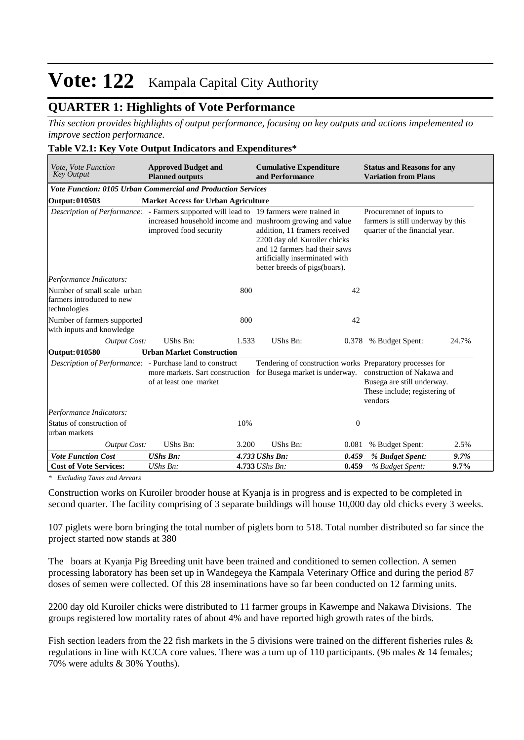## **Vote: 122** Kampala Capital City Authority

## **QUARTER 1: Highlights of Vote Performance**

*This section provides highlights of output performance, focusing on key outputs and actions impelemented to improve section performance.*

#### **Table V2.1: Key Vote Output Indicators and Expenditures\***

| Vote, Vote Function<br><b>Key Output</b>                                 | <b>Approved Budget and</b><br><b>Planned outputs</b>                                                                                                                                  |       | <b>Cumulative Expenditure</b><br>and Performance                                                                                                                  |                  | <b>Status and Reasons for any</b><br><b>Variation from Plans</b>                                     |       |  |  |
|--------------------------------------------------------------------------|---------------------------------------------------------------------------------------------------------------------------------------------------------------------------------------|-------|-------------------------------------------------------------------------------------------------------------------------------------------------------------------|------------------|------------------------------------------------------------------------------------------------------|-------|--|--|
| <b>Vote Function: 0105 Urban Commercial and Production Services</b>      |                                                                                                                                                                                       |       |                                                                                                                                                                   |                  |                                                                                                      |       |  |  |
| <b>Output: 010503</b>                                                    | <b>Market Access for Urban Agriculture</b>                                                                                                                                            |       |                                                                                                                                                                   |                  |                                                                                                      |       |  |  |
|                                                                          | <i>Description of Performance:</i> - Farmers supported will lead to 19 farmers were trained in<br>increased household income and mushroom growing and value<br>improved food security |       | addition, 11 framers received<br>2200 day old Kuroiler chicks<br>and 12 farmers had their saws<br>artificially inserminated with<br>better breeds of pigs(boars). |                  | Procuremnet of inputs to<br>farmers is still underway by this<br>quarter of the financial year.      |       |  |  |
| Performance Indicators:                                                  |                                                                                                                                                                                       |       |                                                                                                                                                                   |                  |                                                                                                      |       |  |  |
| Number of small scale urban<br>farmers introduced to new<br>technologies |                                                                                                                                                                                       | 800   |                                                                                                                                                                   | 42               |                                                                                                      |       |  |  |
| Number of farmers supported<br>with inputs and knowledge                 |                                                                                                                                                                                       | 800   |                                                                                                                                                                   | 42               |                                                                                                      |       |  |  |
| <b>Output Cost:</b>                                                      | UShs Bn:                                                                                                                                                                              | 1.533 | UShs Bn:                                                                                                                                                          | 0.378            | % Budget Spent:                                                                                      | 24.7% |  |  |
| <b>Output: 010580</b>                                                    | <b>Urban Market Construction</b>                                                                                                                                                      |       |                                                                                                                                                                   |                  |                                                                                                      |       |  |  |
| Description of Performance: - Purchase land to construct                 | of at least one market                                                                                                                                                                |       | Tendering of construction works Preparatory processes for<br>more markets. Sart construction for Busega market is underway.                                       |                  | construction of Nakawa and<br>Busega are still underway.<br>These include; registering of<br>vendors |       |  |  |
| Performance Indicators:                                                  |                                                                                                                                                                                       |       |                                                                                                                                                                   |                  |                                                                                                      |       |  |  |
| Status of construction of<br>urban markets                               |                                                                                                                                                                                       | 10%   |                                                                                                                                                                   | $\boldsymbol{0}$ |                                                                                                      |       |  |  |
| <b>Output Cost:</b>                                                      | UShs Bn:                                                                                                                                                                              | 3.200 | UShs Bn:                                                                                                                                                          | 0.081            | % Budget Spent:                                                                                      | 2.5%  |  |  |
| <b>Vote Function Cost</b>                                                | <b>UShs Bn:</b>                                                                                                                                                                       |       | 4.733 UShs Bn:                                                                                                                                                    | 0.459            | % Budget Spent:                                                                                      | 9.7%  |  |  |
| <b>Cost of Vote Services:</b>                                            | UShs Bn:                                                                                                                                                                              |       | 4.733 UShs Bn:                                                                                                                                                    | 0.459            | % Budget Spent:                                                                                      | 9.7%  |  |  |

*\* Excluding Taxes and Arrears*

Construction works on Kuroiler brooder house at Kyanja is in progress and is expected to be completed in second quarter. The facility comprising of 3 separate buildings will house 10,000 day old chicks every 3 weeks.

107 piglets were born bringing the total number of piglets born to 518. Total number distributed so far since the project started now stands at 380

The boars at Kyanja Pig Breeding unit have been trained and conditioned to semen collection. A semen processing laboratory has been set up in Wandegeya the Kampala Veterinary Office and during the period 87 doses of semen were collected. Of this 28 inseminations have so far been conducted on 12 farming units.

2200 day old Kuroiler chicks were distributed to 11 farmer groups in Kawempe and Nakawa Divisions. The groups registered low mortality rates of about 4% and have reported high growth rates of the birds.

Fish section leaders from the 22 fish markets in the 5 divisions were trained on the different fisheries rules & regulations in line with KCCA core values. There was a turn up of 110 participants. (96 males & 14 females; 70% were adults & 30% Youths).